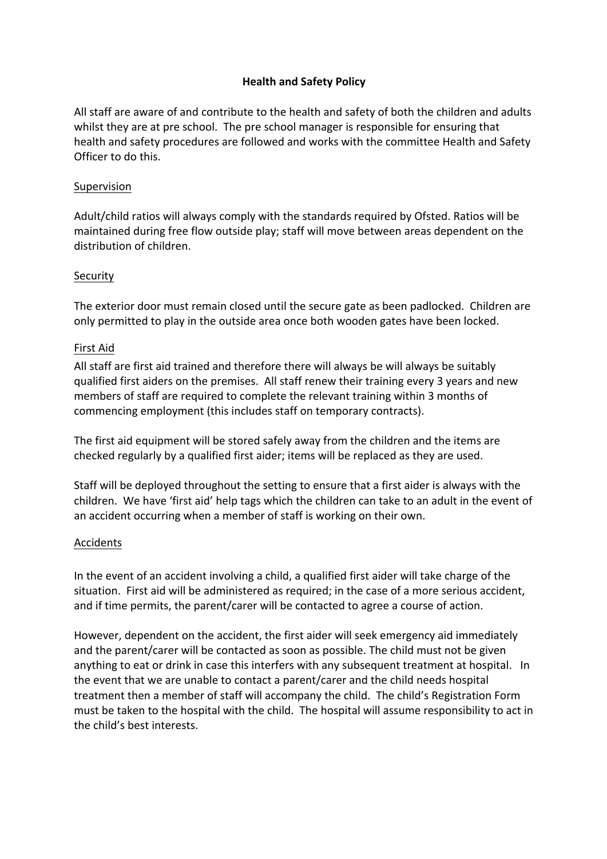# **Health and Safety Policy**

All staff are aware of and contribute to the health and safety of both the children and adults whilst they are at pre school. The pre school manager is responsible for ensuring that health and safety procedures are followed and works with the committee Health and Safety Officer to do this.

#### Supervision

Adult/child ratios will always comply with the standards required by Ofsted. Ratios will be maintained during free flow outside play; staff will move between areas dependent on the distribution of children.

### **Security**

The exterior door must remain closed until the secure gate as been padlocked. Children are only permitted to play in the outside area once both wooden gates have been locked.

#### First Aid

All staff are first aid trained and therefore there will always be will always be suitably qualified first aiders on the premises. All staff renew their training every 3 years and new members of staff are required to complete the relevant training within 3 months of commencing employment (this includes staff on temporary contracts).

The first aid equipment will be stored safely away from the children and the items are checked regularly by a qualified first aider; items will be replaced as they are used.

Staff will be deployed throughout the setting to ensure that a first aider is always with the children. We have 'first aid' help tags which the children can take to an adult in the event of an accident occurring when a member of staff is working on their own.

### Accidents

In the event of an accident involving a child, a qualified first aider will take charge of the situation. First aid will be administered as required; in the case of a more serious accident, and if time permits, the parent/carer will be contacted to agree a course of action.

However, dependent on the accident, the first aider will seek emergency aid immediately and the parent/carer will be contacted as soon as possible. The child must not be given anything to eat or drink in case this interfers with any subsequent treatment at hospital. In the event that we are unable to contact a parent/carer and the child needs hospital treatment then a member of staff will accompany the child. The child's Registration Form must be taken to the hospital with the child. The hospital will assume responsibility to act in the child's best interests.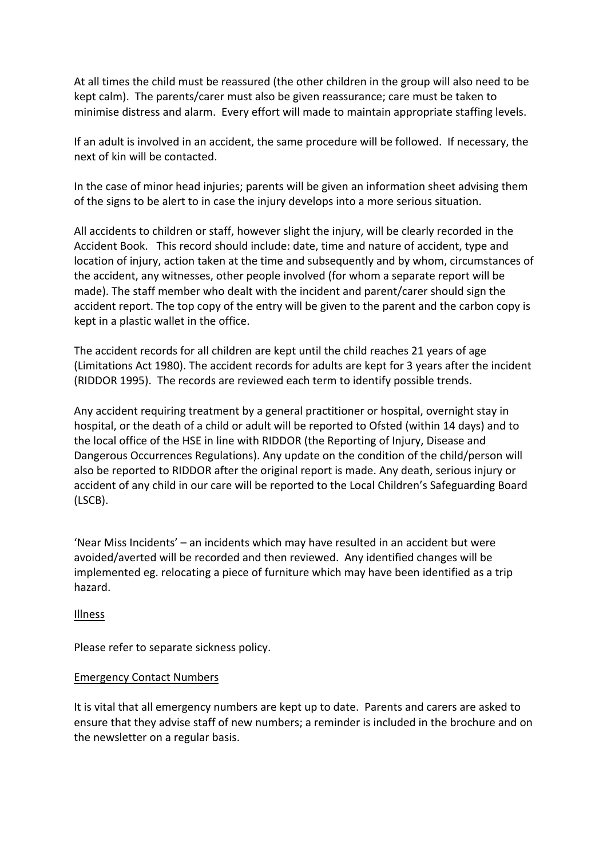At all times the child must be reassured (the other children in the group will also need to be kept calm). The parents/carer must also be given reassurance; care must be taken to minimise distress and alarm. Every effort will made to maintain appropriate staffing levels.

If an adult is involved in an accident, the same procedure will be followed. If necessary, the next of kin will be contacted.

In the case of minor head injuries; parents will be given an information sheet advising them of the signs to be alert to in case the injury develops into a more serious situation.

All accidents to children or staff, however slight the injury, will be clearly recorded in the Accident Book. This record should include: date, time and nature of accident, type and location of injury, action taken at the time and subsequently and by whom, circumstances of the accident, any witnesses, other people involved (for whom a separate report will be made). The staff member who dealt with the incident and parent/carer should sign the accident report. The top copy of the entry will be given to the parent and the carbon copy is kept in a plastic wallet in the office.

The accident records for all children are kept until the child reaches 21 years of age (Limitations Act 1980). The accident records for adults are kept for 3 years after the incident (RIDDOR 1995). The records are reviewed each term to identify possible trends.

Any accident requiring treatment by a general practitioner or hospital, overnight stay in hospital, or the death of a child or adult will be reported to Ofsted (within 14 days) and to the local office of the HSE in line with RIDDOR (the Reporting of Injury, Disease and Dangerous Occurrences Regulations). Any update on the condition of the child/person will also be reported to RIDDOR after the original report is made. Any death, serious injury or accident of any child in our care will be reported to the Local Children's Safeguarding Board (LSCB).

'Near Miss Incidents' – an incidents which may have resulted in an accident but were avoided/averted will be recorded and then reviewed. Any identified changes will be implemented eg. relocating a piece of furniture which may have been identified as a trip hazard. 

Illness

Please refer to separate sickness policy.

# Emergency Contact Numbers

It is vital that all emergency numbers are kept up to date. Parents and carers are asked to ensure that they advise staff of new numbers; a reminder is included in the brochure and on the newsletter on a regular basis.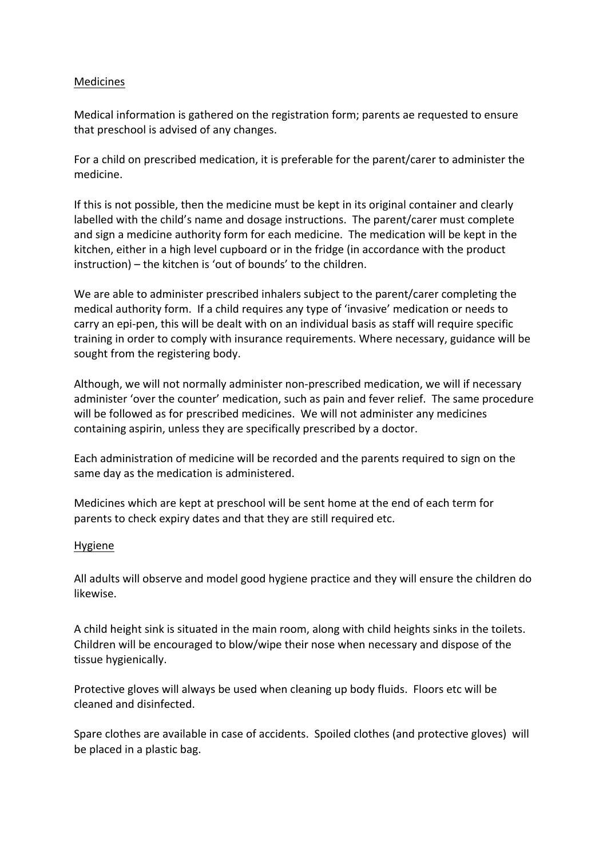## Medicines

Medical information is gathered on the registration form; parents ae requested to ensure that preschool is advised of any changes.

For a child on prescribed medication, it is preferable for the parent/carer to administer the medicine.

If this is not possible, then the medicine must be kept in its original container and clearly labelled with the child's name and dosage instructions. The parent/carer must complete and sign a medicine authority form for each medicine. The medication will be kept in the kitchen, either in a high level cupboard or in the fridge (in accordance with the product instruction) – the kitchen is 'out of bounds' to the children.

We are able to administer prescribed inhalers subject to the parent/carer completing the medical authority form. If a child requires any type of 'invasive' medication or needs to carry an epi-pen, this will be dealt with on an individual basis as staff will require specific training in order to comply with insurance requirements. Where necessary, guidance will be sought from the registering body.

Although, we will not normally administer non-prescribed medication, we will if necessary administer 'over the counter' medication, such as pain and fever relief. The same procedure will be followed as for prescribed medicines. We will not administer any medicines containing aspirin, unless they are specifically prescribed by a doctor.

Each administration of medicine will be recorded and the parents required to sign on the same day as the medication is administered.

Medicines which are kept at preschool will be sent home at the end of each term for parents to check expiry dates and that they are still required etc.

### Hygiene

All adults will observe and model good hygiene practice and they will ensure the children do likewise.

A child height sink is situated in the main room, along with child heights sinks in the toilets. Children will be encouraged to blow/wipe their nose when necessary and dispose of the tissue hygienically.

Protective gloves will always be used when cleaning up body fluids. Floors etc will be cleaned and disinfected.

Spare clothes are available in case of accidents. Spoiled clothes (and protective gloves) will be placed in a plastic bag.